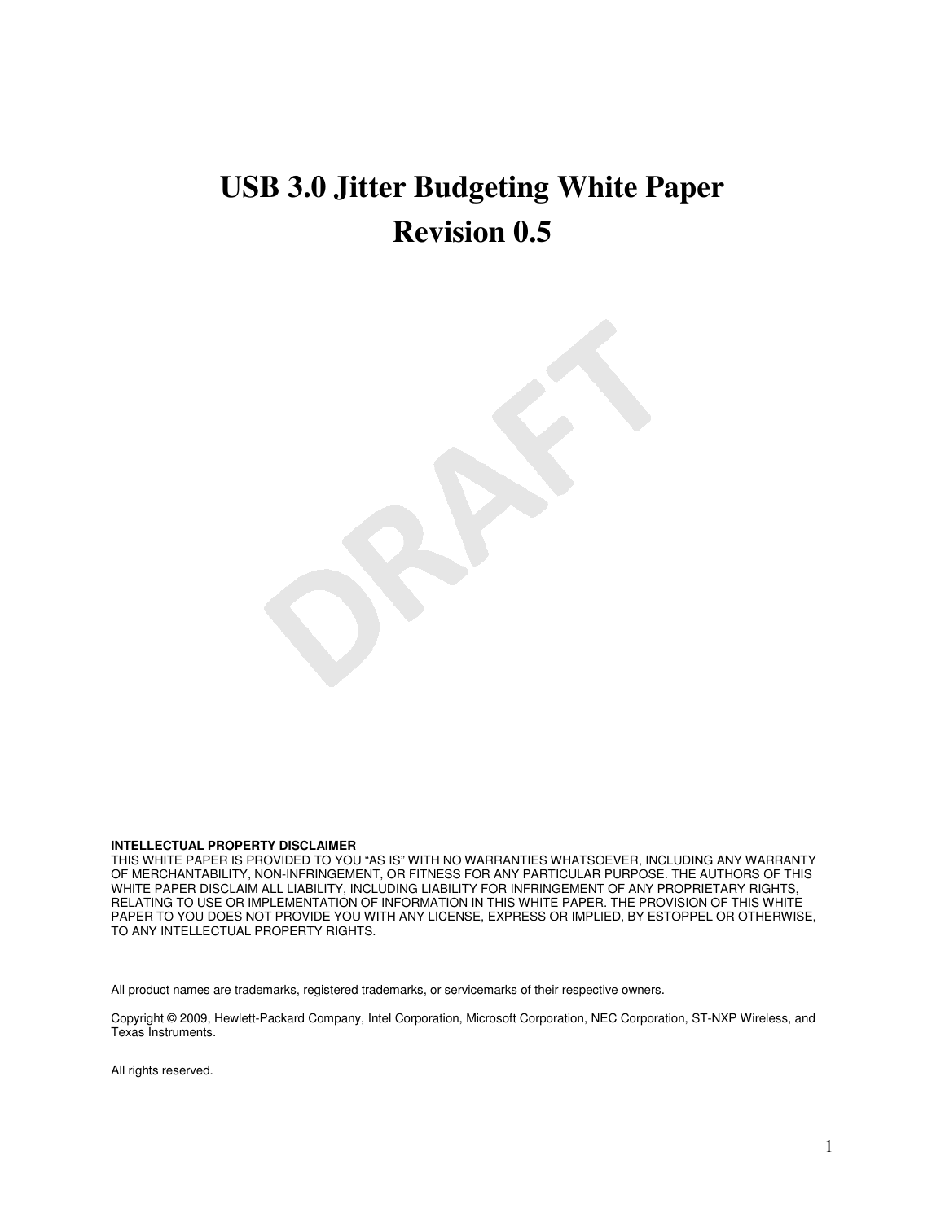# **USB 3.0 Jitter Budgeting White Paper Revision 0.5**

#### **INTELLECTUAL PROPERTY DISCLAIMER**

THIS WHITE PAPER IS PROVIDED TO YOU "AS IS" WITH NO WARRANTIES WHATSOEVER, INCLUDING ANY WARRANTY OF MERCHANTABILITY, NON-INFRINGEMENT, OR FITNESS FOR ANY PARTICULAR PURPOSE. THE AUTHORS OF THIS WHITE PAPER DISCLAIM ALL LIABILITY, INCLUDING LIABILITY FOR INFRINGEMENT OF ANY PROPRIETARY RIGHTS, RELATING TO USE OR IMPLEMENTATION OF INFORMATION IN THIS WHITE PAPER. THE PROVISION OF THIS WHITE PAPER TO YOU DOES NOT PROVIDE YOU WITH ANY LICENSE, EXPRESS OR IMPLIED, BY ESTOPPEL OR OTHERWISE, TO ANY INTELLECTUAL PROPERTY RIGHTS.

All product names are trademarks, registered trademarks, or servicemarks of their respective owners.

Copyright © 2009, Hewlett-Packard Company, Intel Corporation, Microsoft Corporation, NEC Corporation, ST-NXP Wireless, and Texas Instruments.

All rights reserved.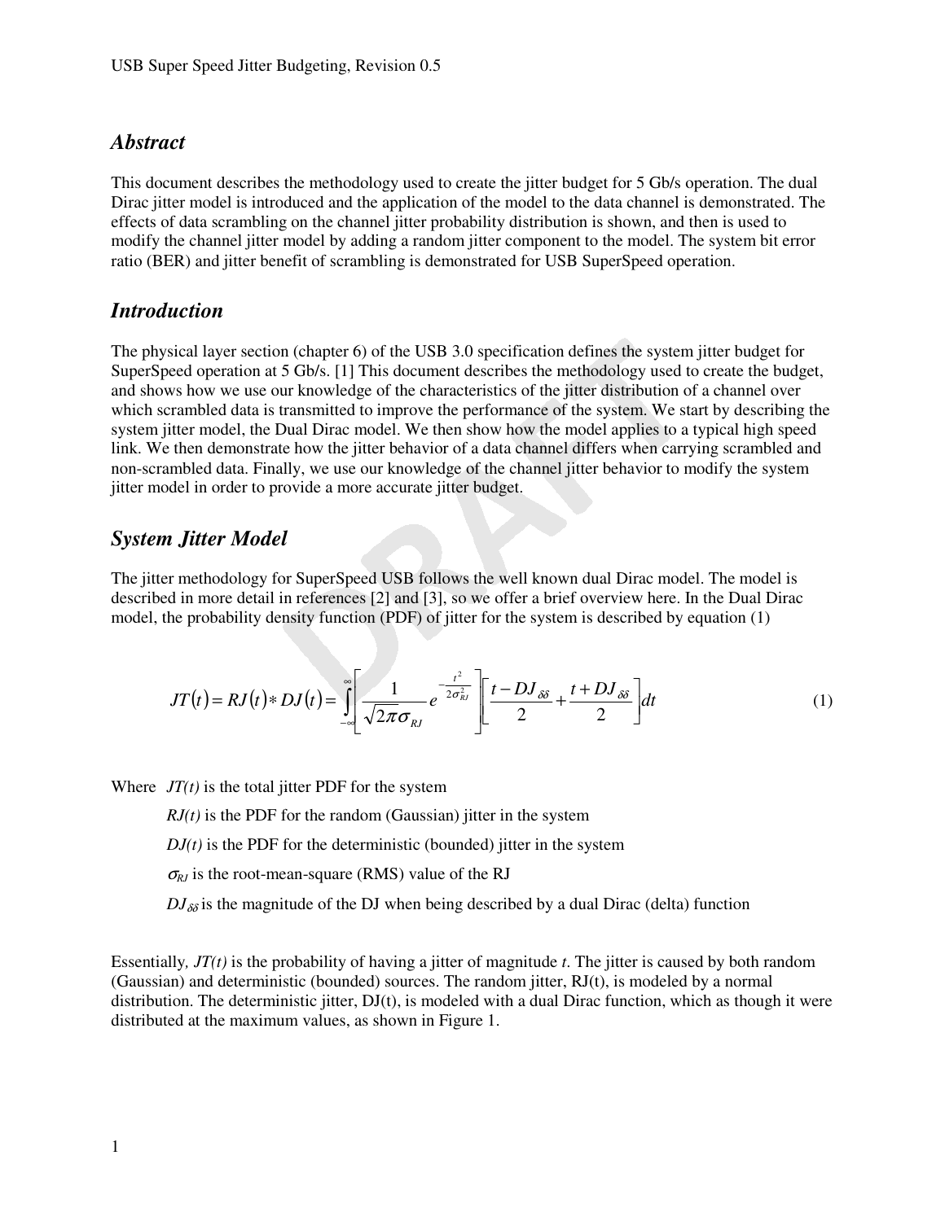#### *Abstract*

This document describes the methodology used to create the jitter budget for 5 Gb/s operation. The dual Dirac jitter model is introduced and the application of the model to the data channel is demonstrated. The effects of data scrambling on the channel jitter probability distribution is shown, and then is used to modify the channel jitter model by adding a random jitter component to the model. The system bit error ratio (BER) and jitter benefit of scrambling is demonstrated for USB SuperSpeed operation.

#### *Introduction*

The physical layer section (chapter 6) of the USB 3.0 specification defines the system jitter budget for SuperSpeed operation at 5 Gb/s. [1] This document describes the methodology used to create the budget, and shows how we use our knowledge of the characteristics of the jitter distribution of a channel over which scrambled data is transmitted to improve the performance of the system. We start by describing the system jitter model, the Dual Dirac model. We then show how the model applies to a typical high speed link. We then demonstrate how the jitter behavior of a data channel differs when carrying scrambled and non-scrambled data. Finally, we use our knowledge of the channel jitter behavior to modify the system jitter model in order to provide a more accurate jitter budget.

#### *System Jitter Model*

The jitter methodology for SuperSpeed USB follows the well known dual Dirac model. The model is described in more detail in references [2] and [3], so we offer a brief overview here. In the Dual Dirac model, the probability density function (PDF) of jitter for the system is described by equation (1)

$$
JT(t) = RJ(t) * DJ(t) = \int_{-\infty}^{\infty} \left[ \frac{1}{\sqrt{2\pi}\sigma_{kl}} e^{-\frac{t^2}{2\sigma_{kl}^2}} \right] \left[ \frac{t - DJ_{\delta\delta}}{2} + \frac{t + DJ_{\delta\delta}}{2} \right] dt
$$
 (1)

Where  $JT(t)$  is the total jitter PDF for the system

 $RJ(t)$  is the PDF for the random (Gaussian) jitter in the system

 $DJ(t)$  is the PDF for the deterministic (bounded) jitter in the system

 $\sigma_{RI}$  is the root-mean-square (RMS) value of the RJ

 $DJ_{\delta\delta}$  is the magnitude of the DJ when being described by a dual Dirac (delta) function

Essentially*, JT(t)* is the probability of having a jitter of magnitude *t*. The jitter is caused by both random (Gaussian) and deterministic (bounded) sources. The random jitter, RJ(t), is modeled by a normal distribution. The deterministic jitter, DJ(t), is modeled with a dual Dirac function, which as though it were distributed at the maximum values, as shown in Figure 1.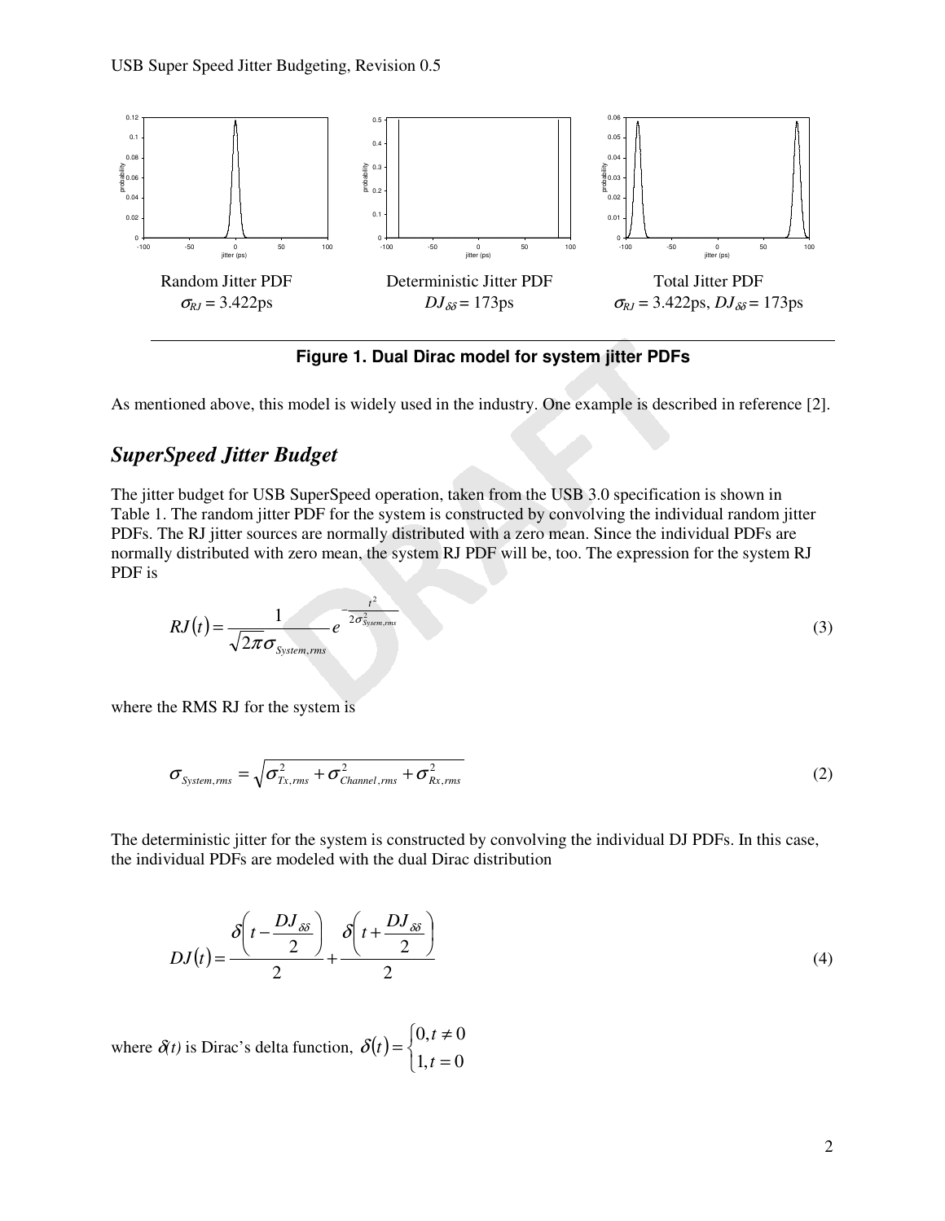

**Figure 1. Dual Dirac model for system jitter PDFs** 

As mentioned above, this model is widely used in the industry. One example is described in reference [2].

## *SuperSpeed Jitter Budget*

The jitter budget for USB SuperSpeed operation, taken from the USB 3.0 specification is shown in Table 1. The random jitter PDF for the system is constructed by convolving the individual random jitter PDFs. The RJ jitter sources are normally distributed with a zero mean. Since the individual PDFs are normally distributed with zero mean, the system RJ PDF will be, too. The expression for the system RJ PDF is

$$
RJ(t) = \frac{1}{\sqrt{2\pi}\sigma_{\text{System,rms}}}e^{-\frac{t^2}{2\sigma_{\text{System,rms}}^2}}
$$
(3)

where the RMS RJ for the system is

$$
\sigma_{\text{System,rms}} = \sqrt{\sigma_{\text{Tx,rms}}^2 + \sigma_{\text{Channel,rms}}^2 + \sigma_{\text{Rx,rms}}^2}
$$
(2)

The deterministic jitter for the system is constructed by convolving the individual DJ PDFs. In this case, the individual PDFs are modeled with the dual Dirac distribution

$$
DJ(t) = \frac{\delta\left(t - \frac{DJ_{\delta\delta}}{2}\right)}{2} + \frac{\delta\left(t + \frac{DJ_{\delta\delta}}{2}\right)}{2} \tag{4}
$$

where  $\delta(t)$  is Dirac's delta function,  $\delta(t)$  $\overline{\mathcal{L}}$ ∤  $\int$ = ≠ =  $1, t = 0$  $0, t \neq 0$ *t t*  $\delta(t)$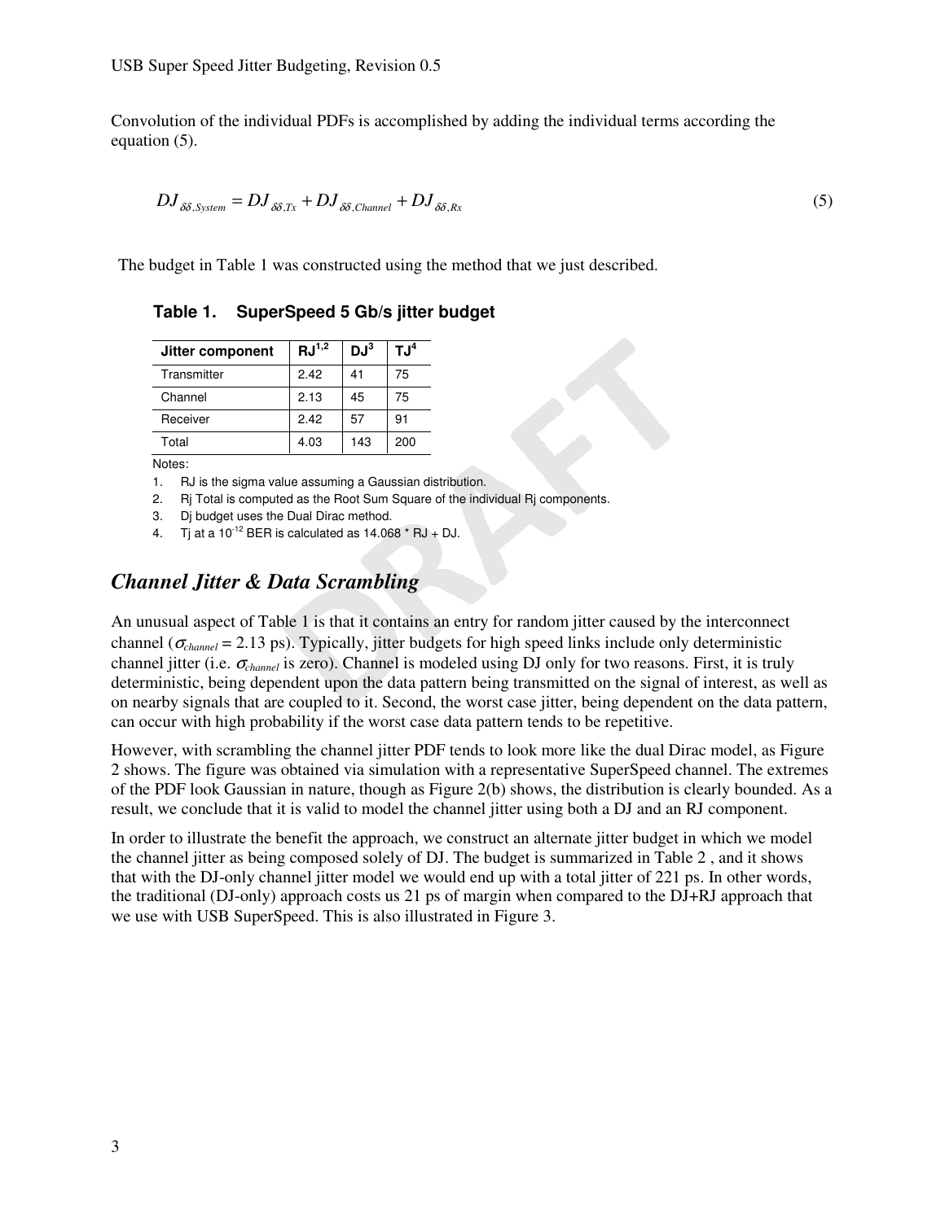Convolution of the individual PDFs is accomplished by adding the individual terms according the equation (5).

$$
DJ_{\delta\delta, System} = DJ_{\delta\delta, Tx} + DJ_{\delta\delta, Channel} + DJ_{\delta\delta, Rx}
$$
\n(5)

The budget in Table 1 was constructed using the method that we just described.

| Jitter component | $\mathrm{RJ}^{1,2}$ | $DJ^3$ | $TJ^4$ |
|------------------|---------------------|--------|--------|
| Transmitter      | 2.42                | 41     | 75     |
| Channel          | 2.13                | 45     | 75     |
| Receiver         | 2.42                | 57     | 91     |
| Total            | 4.03                | 143    | 200    |

**Table 1. SuperSpeed 5 Gb/s jitter budget** 

Notes:

1. RJ is the sigma value assuming a Gaussian distribution.

2. Rj Total is computed as the Root Sum Square of the individual Rj components.

3. Dj budget uses the Dual Dirac method.

4. Ti at a  $10^{-12}$  BER is calculated as  $14.068 \times$  RJ + DJ.

#### *Channel Jitter & Data Scrambling*

An unusual aspect of Table 1 is that it contains an entry for random jitter caused by the interconnect channel ( $\sigma_{channel}$  = 2.13 ps). Typically, jitter budgets for high speed links include only deterministic channel jitter (i.e. <sup>σ</sup>*channel* is zero). Channel is modeled using DJ only for two reasons. First, it is truly deterministic, being dependent upon the data pattern being transmitted on the signal of interest, as well as on nearby signals that are coupled to it. Second, the worst case jitter, being dependent on the data pattern, can occur with high probability if the worst case data pattern tends to be repetitive.

However, with scrambling the channel jitter PDF tends to look more like the dual Dirac model, as Figure 2 shows. The figure was obtained via simulation with a representative SuperSpeed channel. The extremes of the PDF look Gaussian in nature, though as Figure 2(b) shows, the distribution is clearly bounded. As a result, we conclude that it is valid to model the channel jitter using both a DJ and an RJ component.

In order to illustrate the benefit the approach, we construct an alternate jitter budget in which we model the channel jitter as being composed solely of DJ. The budget is summarized in Table 2 , and it shows that with the DJ-only channel jitter model we would end up with a total jitter of 221 ps. In other words, the traditional (DJ-only) approach costs us 21 ps of margin when compared to the DJ+RJ approach that we use with USB SuperSpeed. This is also illustrated in Figure 3.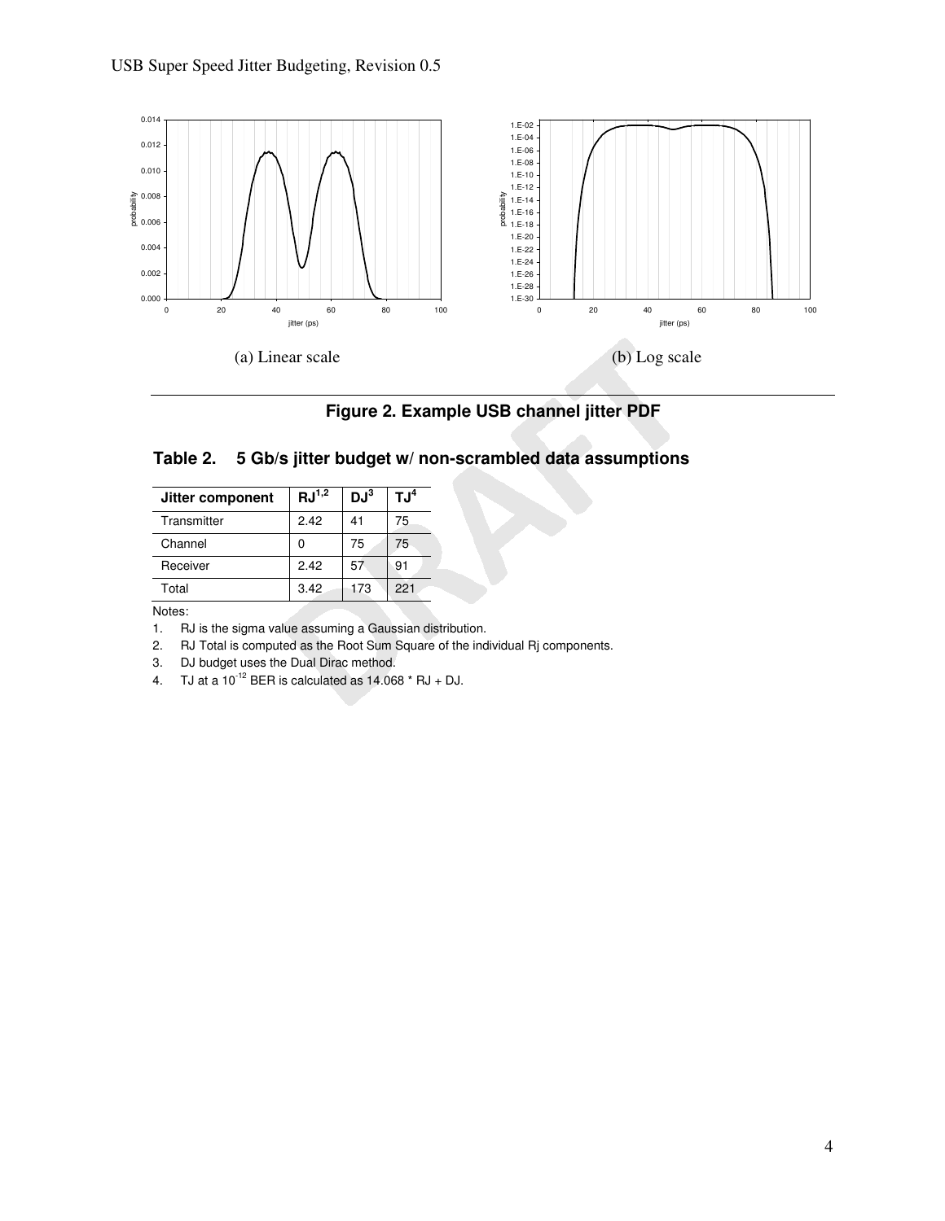

**Figure 2. Example USB channel jitter PDF** 

|  |  |  | Table 2. 5 Gb/s jitter budget w/ non-scrambled data assumptions |  |  |  |
|--|--|--|-----------------------------------------------------------------|--|--|--|
|--|--|--|-----------------------------------------------------------------|--|--|--|

| Jitter component | $\mathrm{RJ}^{1,2}$ | $DJ^3$ | $\mathsf{TJ}^4$ |
|------------------|---------------------|--------|-----------------|
| Transmitter      | 2.42                | 41     | 75              |
| Channel          |                     | 75     | 75              |
| Receiver         | 2.42                | 57     | 91              |
| Total            | 3.42                | 173    | 221             |

Notes:

1. RJ is the sigma value assuming a Gaussian distribution.

2. RJ Total is computed as the Root Sum Square of the individual Rj components.

3. DJ budget uses the Dual Dirac method.

4. TJ at a  $10^{-12}$  BER is calculated as  $14.068$  \* RJ + DJ.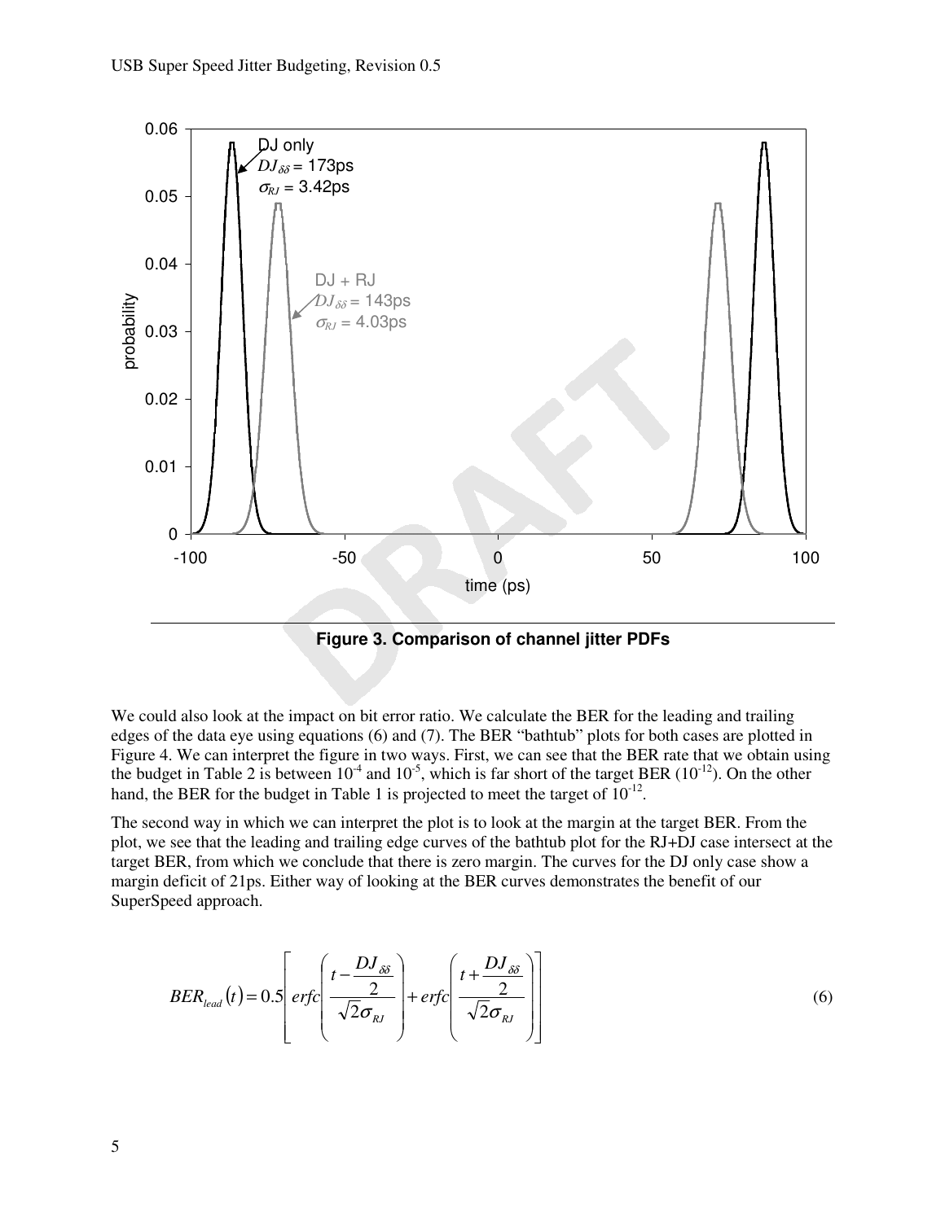

**Figure 3. Comparison of channel jitter PDFs** 

We could also look at the impact on bit error ratio. We calculate the BER for the leading and trailing edges of the data eye using equations (6) and (7). The BER "bathtub" plots for both cases are plotted in Figure 4. We can interpret the figure in two ways. First, we can see that the BER rate that we obtain using the budget in Table 2 is between  $10^{-4}$  and  $10^{-5}$ , which is far short of the target BER ( $10^{-12}$ ). On the other hand, the BER for the budget in Table 1 is projected to meet the target of  $10^{-12}$ .

The second way in which we can interpret the plot is to look at the margin at the target BER. From the plot, we see that the leading and trailing edge curves of the bathtub plot for the RJ+DJ case intersect at the target BER, from which we conclude that there is zero margin. The curves for the DJ only case show a margin deficit of 21ps. Either way of looking at the BER curves demonstrates the benefit of our SuperSpeed approach.

$$
BER_{lead}(t) = 0.5 \left[ erfc\left(\frac{t - \frac{DJ_{\delta\delta}}{2}}{\sqrt{2}\sigma_{RJ}}\right) + erfc\left(\frac{t + \frac{DJ_{\delta\delta}}{2}}{\sqrt{2}\sigma_{RJ}}\right) \right]
$$
(6)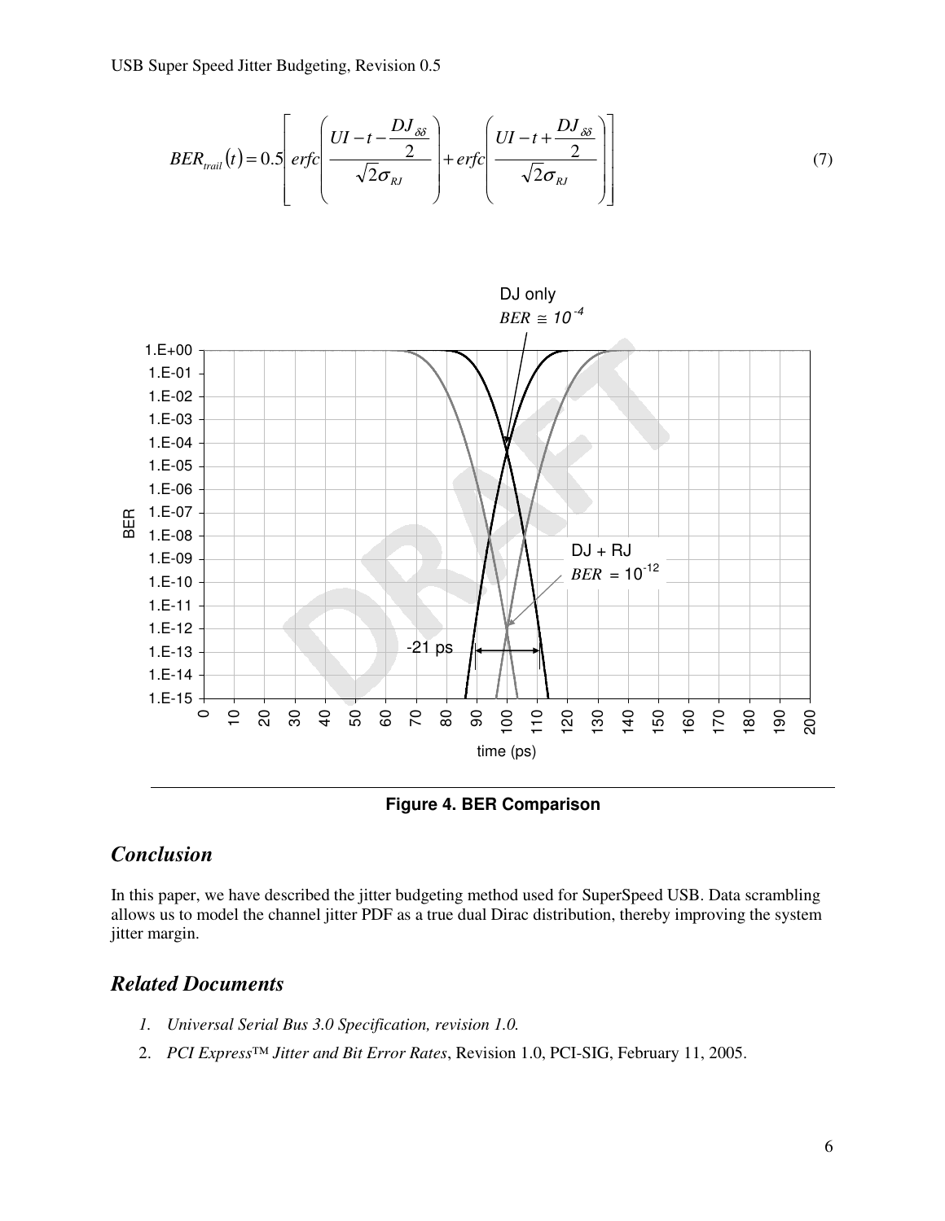USB Super Speed Jitter Budgeting, Revision 0.5

$$
BER_{\text{mail}}(t) = 0.5 \left[ \text{erfc}\left(\frac{UI - t - \frac{DJ_{\delta\delta}}{2}}{\sqrt{2}\sigma_{\text{RJ}}}\right) + \text{erfc}\left(\frac{UI - t + \frac{DJ_{\delta\delta}}{2}}{\sqrt{2}\sigma_{\text{RJ}}}\right) \right] \tag{7}
$$



**Figure 4. BER Comparison** 

### *Conclusion*

In this paper, we have described the jitter budgeting method used for SuperSpeed USB. Data scrambling allows us to model the channel jitter PDF as a true dual Dirac distribution, thereby improving the system jitter margin.

#### *Related Documents*

- *1. Universal Serial Bus 3.0 Specification, revision 1.0.*
- 2. *PCI Express™ Jitter and Bit Error Rates*, Revision 1.0, PCI-SIG, February 11, 2005.